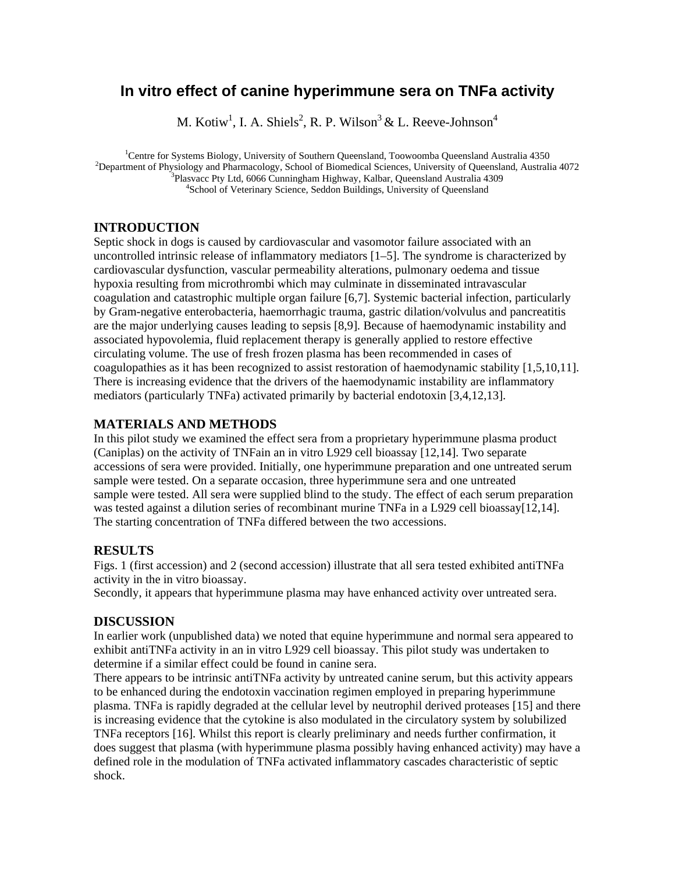# **In vitro effect of canine hyperimmune sera on TNFa activity**

M. Kotiw<sup>1</sup>, I. A. Shiels<sup>2</sup>, R. P. Wilson<sup>3</sup> & L. Reeve-Johnson<sup>4</sup>

<sup>1</sup>Centre for Systems Biology, University of Southern Queensland, Toowoomba Queensland Australia 4350<br><sup>2</sup>Department of Physiology and Pharmacology, School of Piemediael Sciences, University of Queensland, Australia  $<sup>2</sup>$ Department of Physiology and Pharmacology, School of Biomedical Sciences, University of Queensland, Australia 4072</sup>  $3$ Plasvacc Pty Ltd, 6066 Cunningham Highway, Kalbar, Queensland Australia 4309 <sup>4</sup>School of Veterinary Science, Seddon Buildings, University of Queensland

## **INTRODUCTION**

Septic shock in dogs is caused by cardiovascular and vasomotor failure associated with an uncontrolled intrinsic release of inflammatory mediators [1–5]. The syndrome is characterized by cardiovascular dysfunction, vascular permeability alterations, pulmonary oedema and tissue hypoxia resulting from microthrombi which may culminate in disseminated intravascular coagulation and catastrophic multiple organ failure [6,7]. Systemic bacterial infection, particularly by Gram-negative enterobacteria, haemorrhagic trauma, gastric dilation/volvulus and pancreatitis are the major underlying causes leading to sepsis [8,9]. Because of haemodynamic instability and associated hypovolemia, fluid replacement therapy is generally applied to restore effective circulating volume. The use of fresh frozen plasma has been recommended in cases of coagulopathies as it has been recognized to assist restoration of haemodynamic stability [1,5,10,11]. There is increasing evidence that the drivers of the haemodynamic instability are inflammatory mediators (particularly TNFa) activated primarily by bacterial endotoxin [3,4,12,13].

### **MATERIALS AND METHODS**

In this pilot study we examined the effect sera from a proprietary hyperimmune plasma product (Caniplas) on the activity of TNFain an in vitro L929 cell bioassay [12,14]. Two separate accessions of sera were provided. Initially, one hyperimmune preparation and one untreated serum sample were tested. On a separate occasion, three hyperimmune sera and one untreated sample were tested. All sera were supplied blind to the study. The effect of each serum preparation was tested against a dilution series of recombinant murine TNFa in a L929 cell bioassay [12,14]. The starting concentration of TNFa differed between the two accessions.

## **RESULTS**

Figs. 1 (first accession) and 2 (second accession) illustrate that all sera tested exhibited antiTNFa activity in the in vitro bioassay.

Secondly, it appears that hyperimmune plasma may have enhanced activity over untreated sera.

#### **DISCUSSION**

In earlier work (unpublished data) we noted that equine hyperimmune and normal sera appeared to exhibit antiTNFa activity in an in vitro L929 cell bioassay. This pilot study was undertaken to determine if a similar effect could be found in canine sera.

There appears to be intrinsic antiTNFa activity by untreated canine serum, but this activity appears to be enhanced during the endotoxin vaccination regimen employed in preparing hyperimmune plasma. TNFa is rapidly degraded at the cellular level by neutrophil derived proteases [15] and there is increasing evidence that the cytokine is also modulated in the circulatory system by solubilized TNFa receptors [16]. Whilst this report is clearly preliminary and needs further confirmation, it does suggest that plasma (with hyperimmune plasma possibly having enhanced activity) may have a defined role in the modulation of TNFa activated inflammatory cascades characteristic of septic shock.